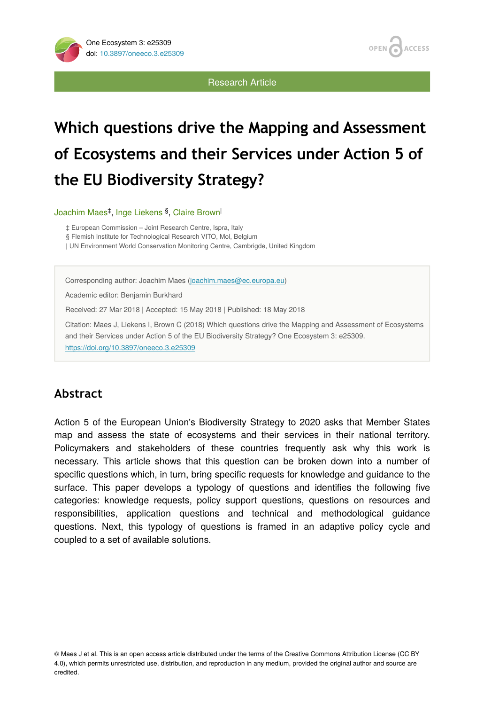Research Article

**OPEN** 

**ACCESS** 

# **Which questions drive the Mapping and Assessment of Ecosystems and their Services under Action 5 of the EU Biodiversity Strategy?**

Joachim Maes<sup>‡</sup>, Inge Liekens <sup>§</sup>, Claire Brown<sup>|</sup>

‡ European Commission – Joint Research Centre, Ispra, Italy

§ Flemish Institute for Technological Research VITO, Mol, Belgium

| UN Environment World Conservation Monitoring Centre, Cambrigde, United Kingdom

Corresponding author: Joachim Maes ([joachim.maes@ec.europa.eu\)](mailto:joachim.maes@ec.europa.eu)

Academic editor: Benjamin Burkhard

Received: 27 Mar 2018 | Accepted: 15 May 2018 | Published: 18 May 2018

Citation: Maes J, Liekens I, Brown C (2018) Which questions drive the Mapping and Assessment of Ecosystems and their Services under Action 5 of the EU Biodiversity Strategy? One Ecosystem 3: e25309. <https://doi.org/10.3897/oneeco.3.e25309>

# **Abstract**

Action 5 of the European Union's Biodiversity Strategy to 2020 asks that Member States map and assess the state of ecosystems and their services in their national territory. Policymakers and stakeholders of these countries frequently ask why this work is necessary. This article shows that this question can be broken down into a number of specific questions which, in turn, bring specific requests for knowledge and guidance to the surface. This paper develops a typology of questions and identifies the following five categories: knowledge requests, policy support questions, questions on resources and responsibilities, application questions and technical and methodological guidance questions. Next, this typology of questions is framed in an adaptive policy cycle and coupled to a set of available solutions.

© Maes J et al. This is an open access article distributed under the terms of the Creative Commons Attribution License (CC BY 4.0), which permits unrestricted use, distribution, and reproduction in any medium, provided the original author and source are credited.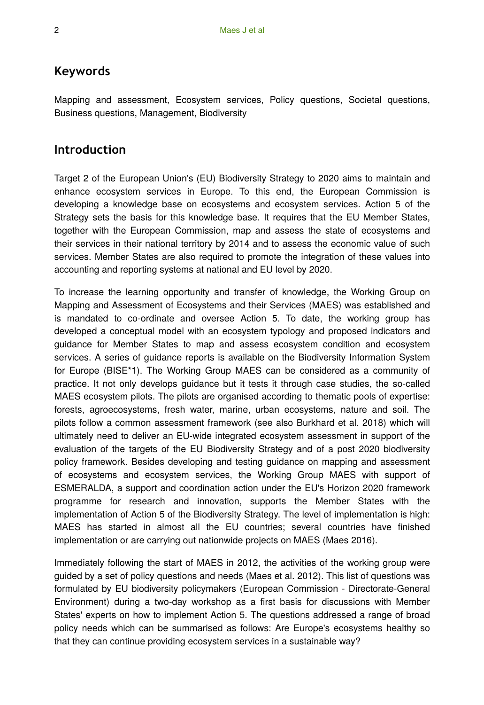## **Keywords**

Mapping and assessment, Ecosystem services, Policy questions, Societal questions, Business questions, Management, Biodiversity

## **Introduction**

Target 2 of the European Union's (EU) Biodiversity Strategy to 2020 aims to maintain and enhance ecosystem services in Europe. To this end, the European Commission is developing a knowledge base on ecosystems and ecosystem services. Action 5 of the Strategy sets the basis for this knowledge base. It requires that the EU Member States, together with the European Commission, map and assess the state of ecosystems and their services in their national territory by 2014 and to assess the economic value of such services. Member States are also required to promote the integration of these values into accounting and reporting systems at national and EU level by 2020.

To increase the learning opportunity and transfer of knowledge, the Working Group on Mapping and Assessment of Ecosystems and their Services (MAES) was established and is mandated to co-ordinate and oversee Action 5. To date, the working group has developed a conceptual model with an ecosystem typology and proposed indicators and guidance for Member States to map and assess ecosystem condition and ecosystem services. A series of guidance reports is available on the Biodiversity Information System for Europe (BISE\*1). The Working Group MAES can be considered as a community of practice. It not only develops guidance but it tests it through case studies, the so-called MAES ecosystem pilots. The pilots are organised according to thematic pools of expertise: forests, agroecosystems, fresh water, marine, urban ecosystems, nature and soil. The pilots follow a common assessment framework (see also Burkhard et al. 2018) which will ultimately need to deliver an EU-wide integrated ecosystem assessment in support of the evaluation of the targets of the EU Biodiversity Strategy and of a post 2020 biodiversity policy framework. Besides developing and testing guidance on mapping and assessment of ecosystems and ecosystem services, the Working Group MAES with support of ESMERALDA, a support and coordination action under the EU's Horizon 2020 framework programme for research and innovation, supports the Member States with the implementation of Action 5 of the Biodiversity Strategy. The level of implementation is high: MAES has started in almost all the EU countries; several countries have finished implementation or are carrying out nationwide projects on MAES (Maes 2016).

Immediately following the start of MAES in 2012, the activities of the working group were guided by a set of policy questions and needs (Maes et al. 2012). This list of questions was formulated by EU biodiversity policymakers (European Commission - Directorate-General Environment) during a two-day workshop as a first basis for discussions with Member States' experts on how to implement Action 5. The questions addressed a range of broad policy needs which can be summarised as follows: Are Europe's ecosystems healthy so that they can continue providing ecosystem services in a sustainable way?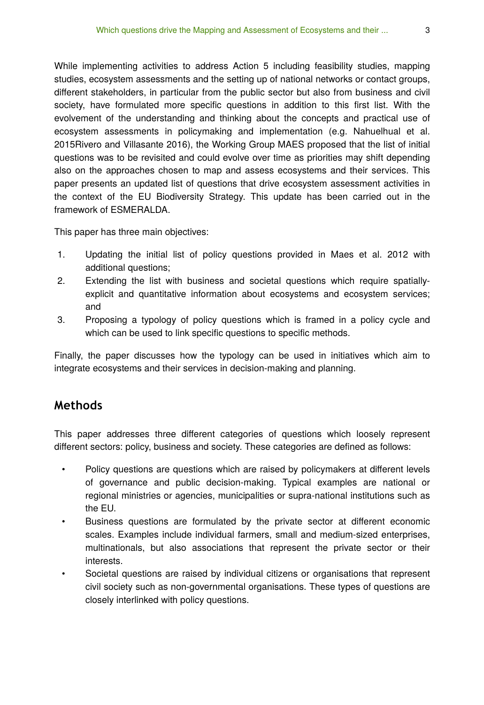While implementing activities to address Action 5 including feasibility studies, mapping studies, ecosystem assessments and the setting up of national networks or contact groups, different stakeholders, in particular from the public sector but also from business and civil society, have formulated more specific questions in addition to this first list. With the evolvement of the understanding and thinking about the concepts and practical use of ecosystem assessments in policymaking and implementation (e.g. Nahuelhual et al. 2015Rivero and Villasante 2016), the Working Group MAES proposed that the list of initial questions was to be revisited and could evolve over time as priorities may shift depending also on the approaches chosen to map and assess ecosystems and their services. This paper presents an updated list of questions that drive ecosystem assessment activities in the context of the EU Biodiversity Strategy. This update has been carried out in the framework of ESMERALDA.

This paper has three main objectives:

- 1. Updating the initial list of policy questions provided in Maes et al. 2012 with additional questions;
- 2. Extending the list with business and societal questions which require spatiallyexplicit and quantitative information about ecosystems and ecosystem services; and
- 3. Proposing a typology of policy questions which is framed in a policy cycle and which can be used to link specific questions to specific methods.

Finally, the paper discusses how the typology can be used in initiatives which aim to integrate ecosystems and their services in decision-making and planning.

## **Methods**

This paper addresses three different categories of questions which loosely represent different sectors: policy, business and society. These categories are defined as follows:

- Policy questions are questions which are raised by policymakers at different levels of governance and public decision-making. Typical examples are national or regional ministries or agencies, municipalities or supra-national institutions such as the EU.
- Business questions are formulated by the private sector at different economic scales. Examples include individual farmers, small and medium-sized enterprises, multinationals, but also associations that represent the private sector or their interests.
- Societal questions are raised by individual citizens or organisations that represent civil society such as non-governmental organisations. These types of questions are closely interlinked with policy questions.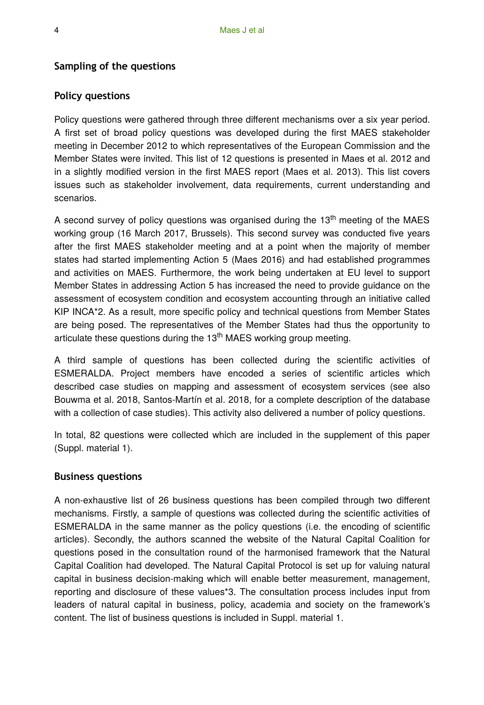#### **Sampling of the questions**

## **Policy questions**

Policy questions were gathered through three different mechanisms over a six year period. A first set of broad policy questions was developed during the first MAES stakeholder meeting in December 2012 to which representatives of the European Commission and the Member States were invited. This list of 12 questions is presented in Maes et al. 2012 and in a slightly modified version in the first MAES report (Maes et al. 2013). This list covers issues such as stakeholder involvement, data requirements, current understanding and scenarios.

A second survey of policy questions was organised during the  $13<sup>th</sup>$  meeting of the MAES working group (16 March 2017, Brussels). This second survey was conducted five years after the first MAES stakeholder meeting and at a point when the majority of member states had started implementing Action 5 (Maes 2016) and had established programmes and activities on MAES. Furthermore, the work being undertaken at EU level to support Member States in addressing Action 5 has increased the need to provide guidance on the assessment of ecosystem condition and ecosystem accounting through an initiative called KIP INCA\*2. As a result, more specific policy and technical questions from Member States are being posed. The representatives of the Member States had thus the opportunity to articulate these questions during the 13<sup>th</sup> MAES working group meeting.

A third sample of questions has been collected during the scientific activities of ESMERALDA. Project members have encoded a series of scientific articles which described case studies on mapping and assessment of ecosystem services (see also Bouwma et al. 2018, Santos-Martín et al. 2018, for a complete description of the database with a collection of case studies). This activity also delivered a number of policy questions.

In total, 82 questions were collected which are included in the supplement of this paper (Suppl. material 1).

#### **Business questions**

A non-exhaustive list of 26 business questions has been compiled through two different mechanisms. Firstly, a sample of questions was collected during the scientific activities of ESMERALDA in the same manner as the policy questions (i.e. the encoding of scientific articles). Secondly, the authors scanned the website of the Natural Capital Coalition for questions posed in the consultation round of the harmonised framework that the Natural Capital Coalition had developed. The Natural Capital Protocol is set up for valuing natural capital in business decision-making which will enable better measurement, management, reporting and disclosure of these values\*3. The consultation process includes input from leaders of natural capital in business, policy, academia and society on the framework's content. The list of business questions is included in Suppl. material 1.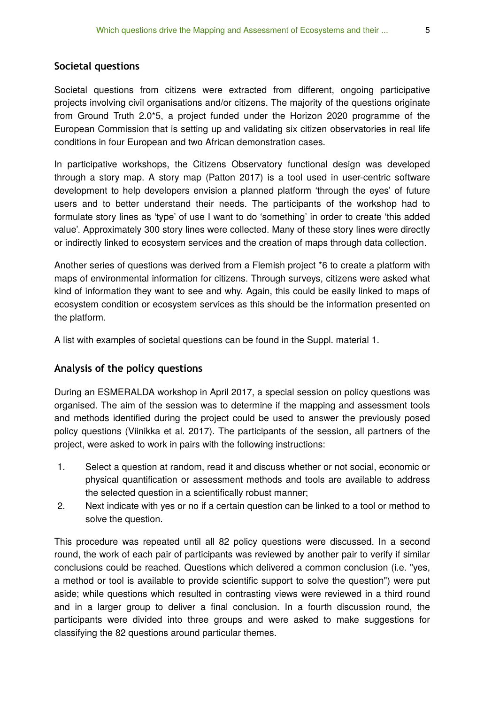#### **Societal questions**

Societal questions from citizens were extracted from different, ongoing participative projects involving civil organisations and/or citizens. The majority of the questions originate from Ground Truth 2.0\*5, a project funded under the Horizon 2020 programme of the European Commission that is setting up and validating six citizen observatories in real life conditions in four European and two African demonstration cases.

In participative workshops, the Citizens Observatory functional design was developed through a story map. A story map (Patton 2017) is a tool used in user-centric software development to help developers envision a planned platform 'through the eyes' of future users and to better understand their needs. The participants of the workshop had to formulate story lines as 'type' of use I want to do 'something' in order to create 'this added value'. Approximately 300 story lines were collected. Many of these story lines were directly or indirectly linked to ecosystem services and the creation of maps through data collection.

Another series of questions was derived from a Flemish project \*6 to create a platform with maps of environmental information for citizens. Through surveys, citizens were asked what kind of information they want to see and why. Again, this could be easily linked to maps of ecosystem condition or ecosystem services as this should be the information presented on the platform.

A list with examples of societal questions can be found in the Suppl. material 1.

## **Analysis of the policy questions**

During an ESMERALDA workshop in April 2017, a special session on policy questions was organised. The aim of the session was to determine if the mapping and assessment tools and methods identified during the project could be used to answer the previously posed policy questions (Viinikka et al. 2017). The participants of the session, all partners of the project, were asked to work in pairs with the following instructions:

- 1. Select a question at random, read it and discuss whether or not social, economic or physical quantification or assessment methods and tools are available to address the selected question in a scientifically robust manner;
- 2. Next indicate with yes or no if a certain question can be linked to a tool or method to solve the question.

This procedure was repeated until all 82 policy questions were discussed. In a second round, the work of each pair of participants was reviewed by another pair to verify if similar conclusions could be reached. Questions which delivered a common conclusion (i.e. "yes, a method or tool is available to provide scientific support to solve the question") were put aside; while questions which resulted in contrasting views were reviewed in a third round and in a larger group to deliver a final conclusion. In a fourth discussion round, the participants were divided into three groups and were asked to make suggestions for classifying the 82 questions around particular themes.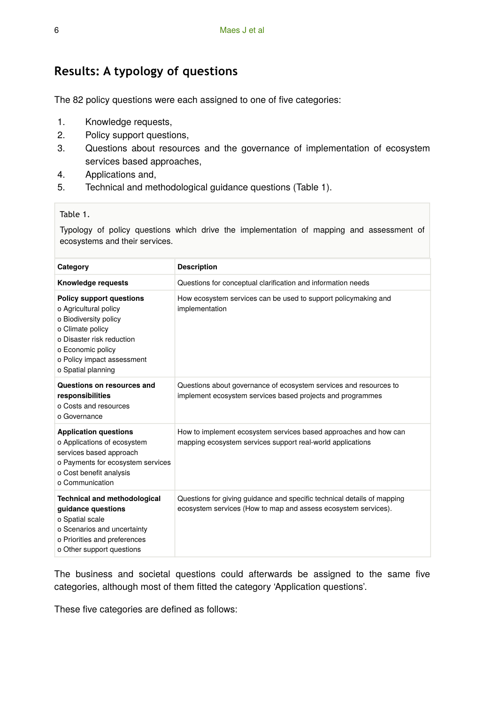# **Results: A typology of questions**

The 82 policy questions were each assigned to one of five categories:

- 1. Knowledge requests,
- 2. Policy support questions,
- 3. Questions about resources and the governance of implementation of ecosystem services based approaches,
- 4. Applications and,
- 5. Technical and methodological guidance questions (Table 1).

#### Table 1.

Typology of policy questions which drive the implementation of mapping and assessment of ecosystems and their services.

| Category                                                                                                                                                                                                    | <b>Description</b>                                                                                                                        |  |  |
|-------------------------------------------------------------------------------------------------------------------------------------------------------------------------------------------------------------|-------------------------------------------------------------------------------------------------------------------------------------------|--|--|
| Knowledge requests                                                                                                                                                                                          | Questions for conceptual clarification and information needs                                                                              |  |  |
| <b>Policy support questions</b><br>o Agricultural policy<br>o Biodiversity policy<br>o Climate policy<br>o Disaster risk reduction<br>o Economic policy<br>o Policy impact assessment<br>o Spatial planning | How ecosystem services can be used to support policymaking and<br>implementation                                                          |  |  |
| Questions on resources and<br>responsibilities<br>o Costs and resources<br>o Governance                                                                                                                     | Questions about governance of ecosystem services and resources to<br>implement ecosystem services based projects and programmes           |  |  |
| <b>Application questions</b><br>o Applications of ecosystem<br>services based approach<br>o Payments for ecosystem services<br>o Cost benefit analysis<br>o Communication                                   | How to implement ecosystem services based approaches and how can<br>mapping ecosystem services support real-world applications            |  |  |
| <b>Technical and methodological</b><br>quidance questions<br>o Spatial scale<br>o Scenarios and uncertainty<br>o Priorities and preferences<br>o Other support questions                                    | Questions for giving guidance and specific technical details of mapping<br>ecosystem services (How to map and assess ecosystem services). |  |  |

The business and societal questions could afterwards be assigned to the same five categories, although most of them fitted the category 'Application questions'.

These five categories are defined as follows: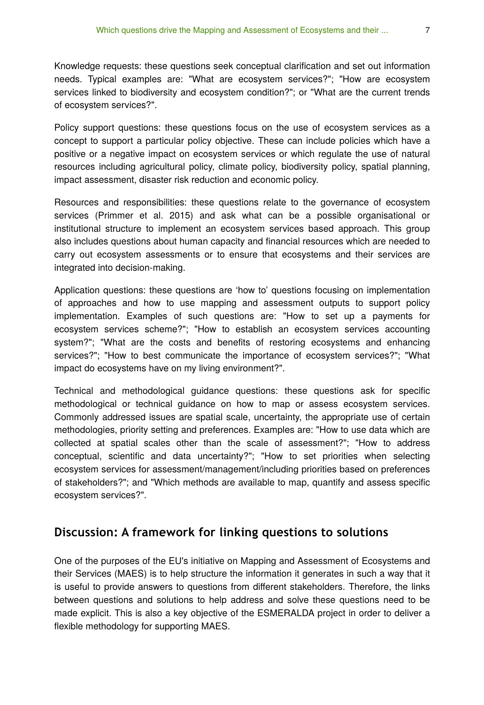Knowledge requests: these questions seek conceptual clarification and set out information needs. Typical examples are: "What are ecosystem services?"; "How are ecosystem services linked to biodiversity and ecosystem condition?"; or "What are the current trends of ecosystem services?".

Policy support questions: these questions focus on the use of ecosystem services as a concept to support a particular policy objective. These can include policies which have a positive or a negative impact on ecosystem services or which regulate the use of natural resources including agricultural policy, climate policy, biodiversity policy, spatial planning, impact assessment, disaster risk reduction and economic policy.

Resources and responsibilities: these questions relate to the governance of ecosystem services (Primmer et al. 2015) and ask what can be a possible organisational or institutional structure to implement an ecosystem services based approach. This group also includes questions about human capacity and financial resources which are needed to carry out ecosystem assessments or to ensure that ecosystems and their services are integrated into decision-making.

Application questions: these questions are 'how to' questions focusing on implementation of approaches and how to use mapping and assessment outputs to support policy implementation. Examples of such questions are: "How to set up a payments for ecosystem services scheme?"; "How to establish an ecosystem services accounting system?"; "What are the costs and benefits of restoring ecosystems and enhancing services?"; "How to best communicate the importance of ecosystem services?"; "What impact do ecosystems have on my living environment?".

Technical and methodological guidance questions: these questions ask for specific methodological or technical guidance on how to map or assess ecosystem services. Commonly addressed issues are spatial scale, uncertainty, the appropriate use of certain methodologies, priority setting and preferences. Examples are: "How to use data which are collected at spatial scales other than the scale of assessment?"; "How to address conceptual, scientific and data uncertainty?"; "How to set priorities when selecting ecosystem services for assessment/management/including priorities based on preferences of stakeholders?"; and "Which methods are available to map, quantify and assess specific ecosystem services?".

## **Discussion: A framework for linking questions to solutions**

One of the purposes of the EU's initiative on Mapping and Assessment of Ecosystems and their Services (MAES) is to help structure the information it generates in such a way that it is useful to provide answers to questions from different stakeholders. Therefore, the links between questions and solutions to help address and solve these questions need to be made explicit. This is also a key objective of the ESMERALDA project in order to deliver a flexible methodology for supporting MAES.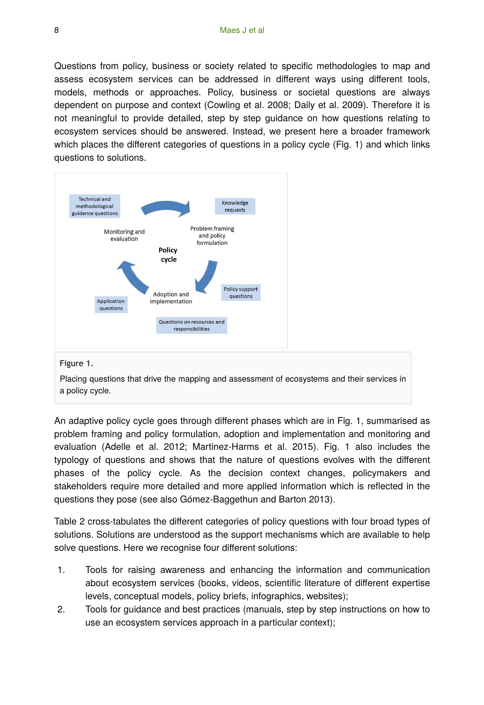Questions from policy, business or society related to specific methodologies to map and assess ecosystem services can be addressed in different ways using different tools, models, methods or approaches. Policy, business or societal questions are always dependent on purpose and context (Cowling et al. 2008; Daily et al. 2009). Therefore it is not meaningful to provide detailed, step by step guidance on how questions relating to ecosystem services should be answered. Instead, we present here a broader framework which places the different categories of questions in a policy cycle (Fig. 1) and which links questions to solutions.



#### Figure 1.

Placing questions that drive the mapping and assessment of ecosystems and their services in a policy cycle.

An adaptive policy cycle goes through different phases which are in Fig. 1, summarised as problem framing and policy formulation, adoption and implementation and monitoring and evaluation (Adelle et al. 2012; Martinez-Harms et al. 2015). Fig. 1 also includes the typology of questions and shows that the nature of questions evolves with the different phases of the policy cycle. As the decision context changes, policymakers and stakeholders require more detailed and more applied information which is reflected in the questions they pose (see also Gómez-Baggethun and Barton 2013).

Table 2 cross-tabulates the different categories of policy questions with four broad types of solutions. Solutions are understood as the support mechanisms which are available to help solve questions. Here we recognise four different solutions:

- 1. Tools for raising awareness and enhancing the information and communication about ecosystem services (books, videos, scientific literature of different expertise levels, conceptual models, policy briefs, infographics, websites);
- 2. Tools for guidance and best practices (manuals, step by step instructions on how to use an ecosystem services approach in a particular context);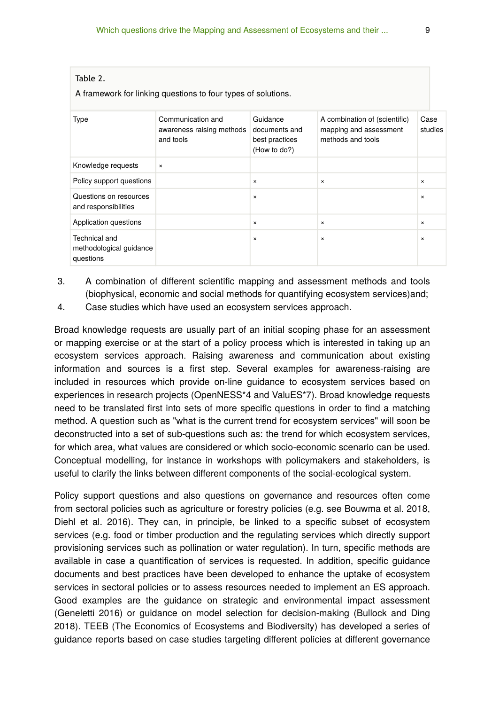| A framework for linking questions to four types of solutions. |                                                             |                                                             |                                                                              |                 |  |
|---------------------------------------------------------------|-------------------------------------------------------------|-------------------------------------------------------------|------------------------------------------------------------------------------|-----------------|--|
| Type                                                          | Communication and<br>awareness raising methods<br>and tools | Guidance<br>documents and<br>best practices<br>(How to do?) | A combination of (scientific)<br>mapping and assessment<br>methods and tools | Case<br>studies |  |
| Knowledge requests                                            | $\times$                                                    |                                                             |                                                                              |                 |  |
| Policy support questions                                      |                                                             | $\times$                                                    | $\times$                                                                     | $\times$        |  |
| Questions on resources<br>and responsibilities                |                                                             | $\times$                                                    |                                                                              | $\times$        |  |
| Application questions                                         |                                                             | $\times$                                                    | $\pmb{\times}$                                                               | $\times$        |  |
| Technical and<br>methodological guidance<br>questions         |                                                             | $\times$                                                    | $\times$                                                                     | $\times$        |  |

- 3. A combination of different scientific mapping and assessment methods and tools (biophysical, economic and social methods for quantifying ecosystem services)and;
- 4. Case studies which have used an ecosystem services approach.

Table 2.

Broad knowledge requests are usually part of an initial scoping phase for an assessment or mapping exercise or at the start of a policy process which is interested in taking up an ecosystem services approach. Raising awareness and communication about existing information and sources is a first step. Several examples for awareness-raising are included in resources which provide on-line guidance to ecosystem services based on experiences in research projects (OpenNESS\*4 and ValuES\*7). Broad knowledge requests need to be translated first into sets of more specific questions in order to find a matching method. A question such as "what is the current trend for ecosystem services" will soon be deconstructed into a set of sub-questions such as: the trend for which ecosystem services, for which area, what values are considered or which socio-economic scenario can be used. Conceptual modelling, for instance in workshops with policymakers and stakeholders, is useful to clarify the links between different components of the social-ecological system.

Policy support questions and also questions on governance and resources often come from sectoral policies such as agriculture or forestry policies (e.g. see Bouwma et al. 2018, Diehl et al. 2016). They can, in principle, be linked to a specific subset of ecosystem services (e.g. food or timber production and the regulating services which directly support provisioning services such as pollination or water regulation). In turn, specific methods are available in case a quantification of services is requested. In addition, specific guidance documents and best practices have been developed to enhance the uptake of ecosystem services in sectoral policies or to assess resources needed to implement an ES approach. Good examples are the guidance on strategic and environmental impact assessment (Geneletti 2016) or guidance on model selection for decision-making (Bullock and Ding 2018). TEEB (The Economics of Ecosystems and Biodiversity) has developed a series of guidance reports based on case studies targeting different policies at different governance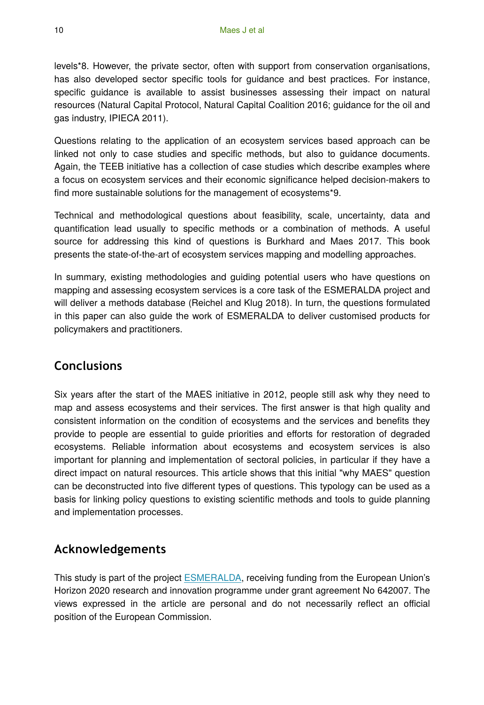levels\*8. However, the private sector, often with support from conservation organisations, has also developed sector specific tools for guidance and best practices. For instance, specific guidance is available to assist businesses assessing their impact on natural resources (Natural Capital Protocol, Natural Capital Coalition 2016; guidance for the oil and gas industry, IPIECA 2011).

Questions relating to the application of an ecosystem services based approach can be linked not only to case studies and specific methods, but also to guidance documents. Again, the TEEB initiative has a collection of case studies which describe examples where a focus on ecosystem services and their economic significance helped decision-makers to find more sustainable solutions for the management of ecosystems\*9.

Technical and methodological questions about feasibility, scale, uncertainty, data and quantification lead usually to specific methods or a combination of methods. A useful source for addressing this kind of questions is Burkhard and Maes 2017. This book presents the state-of-the-art of ecosystem services mapping and modelling approaches.

In summary, existing methodologies and guiding potential users who have questions on mapping and assessing ecosystem services is a core task of the ESMERALDA project and will deliver a methods database (Reichel and Klug 2018). In turn, the questions formulated in this paper can also guide the work of ESMERALDA to deliver customised products for policymakers and practitioners.

## **Conclusions**

Six years after the start of the MAES initiative in 2012, people still ask why they need to map and assess ecosystems and their services. The first answer is that high quality and consistent information on the condition of ecosystems and the services and benefits they provide to people are essential to guide priorities and efforts for restoration of degraded ecosystems. Reliable information about ecosystems and ecosystem services is also important for planning and implementation of sectoral policies, in particular if they have a direct impact on natural resources. This article shows that this initial "why MAES" question can be deconstructed into five different types of questions. This typology can be used as a basis for linking policy questions to existing scientific methods and tools to guide planning and implementation processes.

# **Acknowledgements**

This study is part of the project [ESMERALDA](http://www.esmeralda-project.eu/), receiving funding from the European Union's Horizon 2020 research and innovation programme under grant agreement No 642007. The views expressed in the article are personal and do not necessarily reflect an official position of the European Commission.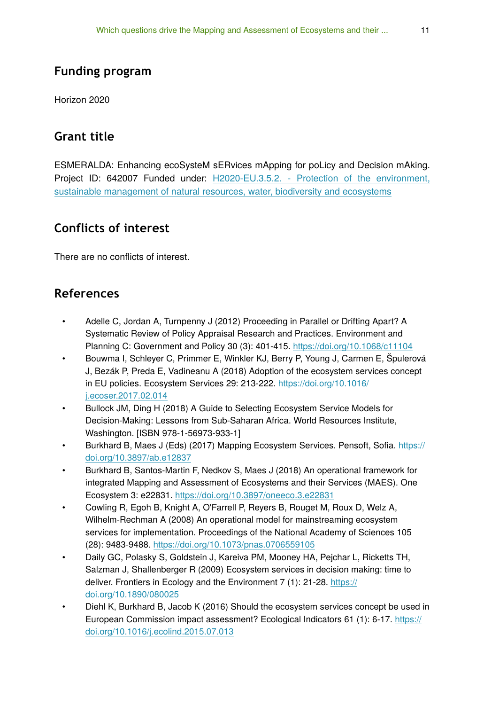# **Funding program**

Horizon 2020

# **Grant title**

ESMERALDA: Enhancing ecoSysteM sERvices mApping for poLicy and Decision mAking. Project ID: 642007 Funded under: [H2020-EU.3.5.2. - Protection of the environment,](https://cordis.europa.eu/programme/rcn/664399_en.html) [sustainable management of natural resources, water, biodiversity and ecosystems](https://cordis.europa.eu/programme/rcn/664399_en.html)

# **Conflicts of interest**

There are no conflicts of interest.

# **References**

- Adelle C, Jordan A, Turnpenny J (2012) Proceeding in Parallel or Drifting Apart? A Systematic Review of Policy Appraisal Research and Practices. Environment and Planning C: Government and Policy 30 (3): 401‑415.<https://doi.org/10.1068/c11104>
- Bouwma I, Schleyer C, Primmer E, Winkler KJ, Berry P, Young J, Carmen E, Špulerová J, Bezák P, Preda E, Vadineanu A (2018) Adoption of the ecosystem services concept in EU policies. Ecosystem Services 29: 213‑222. [https://doi.org/10.1016/](https://doi.org/10.1016/j.ecoser.2017.02.014) [j.ecoser.2017.02.014](https://doi.org/10.1016/j.ecoser.2017.02.014)
- Bullock JM, Ding H (2018) A Guide to Selecting Ecosystem Service Models for Decision-Making: Lessons from Sub-Saharan Africa. World Resources Institute, Washington. [ISBN 978-1-56973-933-1]
- Burkhard B, Maes J (Eds) (2017) Mapping Ecosystem Services. Pensoft, Sofia[. https://](https://doi.org/10.3897/ab.e12837) [doi.org/10.3897/ab.e12837](https://doi.org/10.3897/ab.e12837)
- Burkhard B, Santos-Martin F, Nedkov S, Maes J (2018) An operational framework for integrated Mapping and Assessment of Ecosystems and their Services (MAES). One Ecosystem 3: e22831.<https://doi.org/10.3897/oneeco.3.e22831>
- Cowling R, Egoh B, Knight A, O'Farrell P, Reyers B, Rouget M, Roux D, Welz A, Wilhelm-Rechman A (2008) An operational model for mainstreaming ecosystem services for implementation. Proceedings of the National Academy of Sciences 105 (28): 9483‑9488.<https://doi.org/10.1073/pnas.0706559105>
- Daily GC, Polasky S, Goldstein J, Kareiva PM, Mooney HA, Pejchar L, Ricketts TH, Salzman J, Shallenberger R (2009) Ecosystem services in decision making: time to deliver. Frontiers in Ecology and the Environment 7 (1): 21-28. [https://](https://doi.org/10.1890/080025) [doi.org/10.1890/080025](https://doi.org/10.1890/080025)
- Diehl K, Burkhard B, Jacob K (2016) Should the ecosystem services concept be used in European Commission impact assessment? Ecological Indicators 61 (1): 6‑17. [https://](https://doi.org/10.1016/j.ecolind.2015.07.013) [doi.org/10.1016/j.ecolind.2015.07.013](https://doi.org/10.1016/j.ecolind.2015.07.013)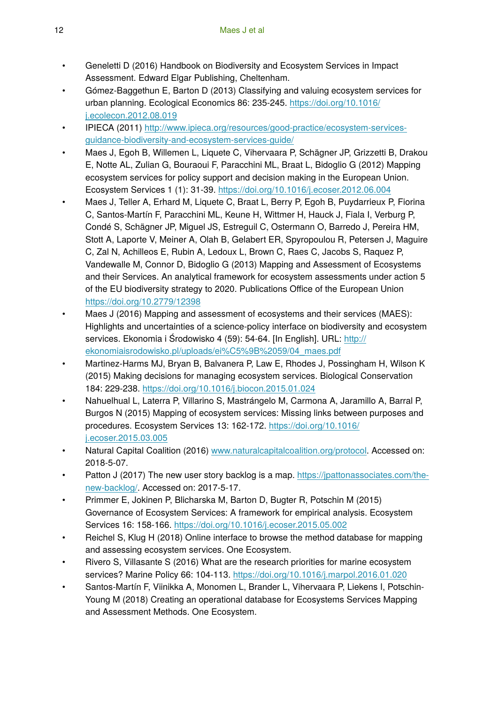- Geneletti D (2016) Handbook on Biodiversity and Ecosystem Services in Impact Assessment. Edward Elgar Publishing, Cheltenham.
- Gómez-Baggethun E, Barton D (2013) Classifying and valuing ecosystem services for urban planning. Ecological Economics 86: 235-245. [https://doi.org/10.1016/](https://doi.org/10.1016/j.ecolecon.2012.08.019) [j.ecolecon.2012.08.019](https://doi.org/10.1016/j.ecolecon.2012.08.019)
- IPIECA (2011) [http://www.ipieca.org/resources/good-practice/ecosystem-services](http://www.ipieca.org/resources/good-practice/ecosystem-services-guidance-biodiversity-and-ecosystem-services-guide/)[guidance-biodiversity-and-ecosystem-services-guide/](http://www.ipieca.org/resources/good-practice/ecosystem-services-guidance-biodiversity-and-ecosystem-services-guide/)
- Maes J, Egoh B, Willemen L, Liquete C, Vihervaara P, Schägner JP, Grizzetti B, Drakou E, Notte AL, Zulian G, Bouraoui F, Paracchini ML, Braat L, Bidoglio G (2012) Mapping ecosystem services for policy support and decision making in the European Union. Ecosystem Services 1 (1): 31‑39. <https://doi.org/10.1016/j.ecoser.2012.06.004>
- Maes J, Teller A, Erhard M, Liquete C, Braat L, Berry P, Egoh B, Puydarrieux P, Fiorina C, Santos-Martín F, Paracchini ML, Keune H, Wittmer H, Hauck J, Fiala I, Verburg P, Condé S, Schägner JP, Miguel JS, Estreguil C, Ostermann O, Barredo J, Pereira HM, Stott A, Laporte V, Meiner A, Olah B, Gelabert ER, Spyropoulou R, Petersen J, Maguire C, Zal N, Achilleos E, Rubin A, Ledoux L, Brown C, Raes C, Jacobs S, Raquez P, Vandewalle M, Connor D, Bidoglio G (2013) Mapping and Assessment of Ecosystems and their Services. An analytical framework for ecosystem assessments under action 5 of the EU biodiversity strategy to 2020. Publications Office of the European Union <https://doi.org/10.2779/12398>
- Maes J (2016) Mapping and assessment of ecosystems and their services (MAES): Highlights and uncertainties of a science-policy interface on biodiversity and ecosystem services. Ekonomia i Środowisko 4 (59): 54-64. [In English]. URL: [http://](http://ekonomiaisrodowisko.pl/uploads/ei%C5%9B%2059/04_maes.pdf) [ekonomiaisrodowisko.pl/uploads/ei%C5%9B%2059/04\\_maes.pdf](http://ekonomiaisrodowisko.pl/uploads/ei%C5%9B%2059/04_maes.pdf)
- Martinez-Harms MJ, Bryan B, Balvanera P, Law E, Rhodes J, Possingham H, Wilson K (2015) Making decisions for managing ecosystem services. Biological Conservation 184: 229‑238. <https://doi.org/10.1016/j.biocon.2015.01.024>
- Nahuelhual L, Laterra P, Villarino S, Mastrángelo M, Carmona A, Jaramillo A, Barral P, Burgos N (2015) Mapping of ecosystem services: Missing links between purposes and procedures. Ecosystem Services 13: 162-172. [https://doi.org/10.1016/](https://doi.org/10.1016/j.ecoser.2015.03.005) [j.ecoser.2015.03.005](https://doi.org/10.1016/j.ecoser.2015.03.005)
- Natural Capital Coalition (2016) [www.naturalcapitalcoalition.org/protocol](http://www.naturalcapitalcoalition.org/protocol). Accessed on: 2018-5-07.
- Patton J (2017) The new user story backlog is a map. [https://jpattonassociates.com/the](https://jpattonassociates.com/the-new-backlog/)[new-backlog/.](https://jpattonassociates.com/the-new-backlog/) Accessed on: 2017-5-17.
- Primmer E, Jokinen P, Blicharska M, Barton D, Bugter R, Potschin M (2015) Governance of Ecosystem Services: A framework for empirical analysis. Ecosystem Services 16: 158‑166.<https://doi.org/10.1016/j.ecoser.2015.05.002>
- Reichel S, Klug H (2018) Online interface to browse the method database for mapping and assessing ecosystem services. One Ecosystem.
- Rivero S, Villasante S (2016) What are the research priorities for marine ecosystem services? Marine Policy 66: 104‑113.<https://doi.org/10.1016/j.marpol.2016.01.020>
- Santos-Martín F, Viinikka A, Monomen L, Brander L, Vihervaara P, Liekens I, Potschin-Young M (2018) Creating an operational database for Ecosystems Services Mapping and Assessment Methods. One Ecosystem.